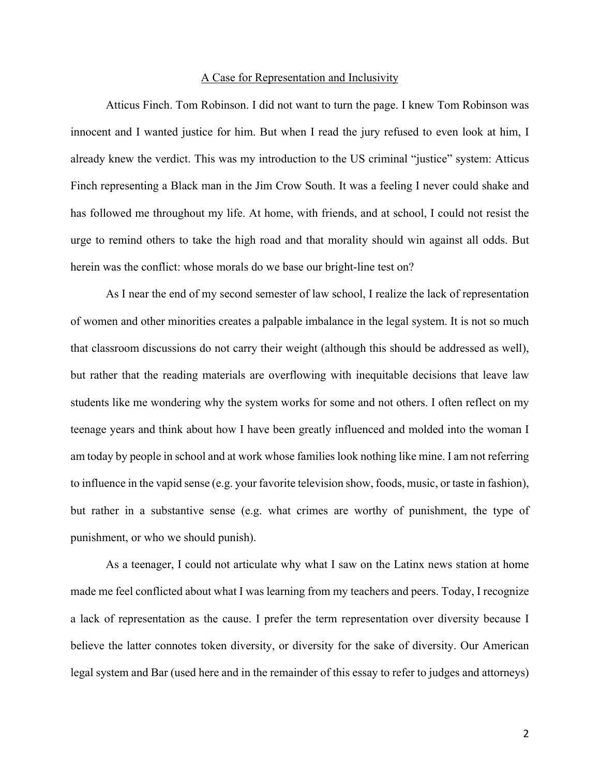# A Case for Representation and Inclusivity

Atticus Finch. Tom Robinson. I did not want to turn the page. I knew Tom Robinson was innocent and I wanted justice for him. But when I read the jury refused to even look at him, I already knew the verdict. This was my introduction to the US criminal "justice" system: Atticus Finch representing a Black man in the Jim Crow South. It was a feeling I never could shake and has followed me throughout my life. At home, with friends, and at school, I could not resist the urge to remind others to take the high road and that morality should win against all odds. But herein was the conflict: whose morals do we base our bright-line test on?

As I near the end of my second semester of law school, I realize the lack of representation of women and other minorities creates a palpable imbalance in the legal system. It is not so much that classroom discussions do not carry their weight (although this should be addressed as well), but rather that the reading materials are overflowing with inequitable decisions that leave law students like me wondering why the system works for some and not others. I often reflect on my teenage years and think about how I have been greatly influenced and molded into the woman I am today by people in school and at work whose families look nothing like mine. I am not referring to influence in the vapid sense (e.g. your favorite television show, foods, music, or taste in fashion), but rather in a substantive sense (e.g. what crimes are worthy of punishment, the type of punishment, or who we should punish).

As a teenager, I could not articulate why what I saw on the Latinx news station at home made me feel conflicted about what I was learning from my teachers and peers. Today, I recognize a lack of representation as the cause. I prefer the term representation over diversity because I believe the latter connotes token diversity, or diversity for the sake of diversity. Our American legal system and Bar (used here and in the remainder of this essay to refer to judges and attorneys)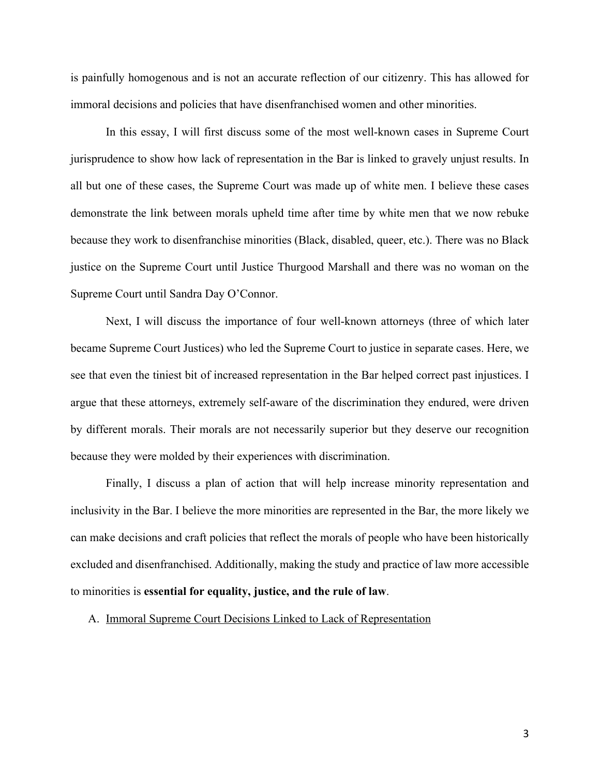is painfully homogenous and is not an accurate reflection of our citizenry. This has allowed for immoral decisions and policies that have disenfranchised women and other minorities.

In this essay, I will first discuss some of the most well-known cases in Supreme Court jurisprudence to show how lack of representation in the Bar is linked to gravely unjust results. In all but one of these cases, the Supreme Court was made up of white men. I believe these cases demonstrate the link between morals upheld time after time by white men that we now rebuke because they work to disenfranchise minorities (Black, disabled, queer, etc.). There was no Black justice on the Supreme Court until Justice Thurgood Marshall and there was no woman on the Supreme Court until Sandra Day O'Connor.

Next, I will discuss the importance of four well-known attorneys (three of which later became Supreme Court Justices) who led the Supreme Court to justice in separate cases. Here, we see that even the tiniest bit of increased representation in the Bar helped correct past injustices. I argue that these attorneys, extremely self-aware of the discrimination they endured, were driven by different morals. Their morals are not necessarily superior but they deserve our recognition because they were molded by their experiences with discrimination.

Finally, I discuss a plan of action that will help increase minority representation and inclusivity in the Bar. I believe the more minorities are represented in the Bar, the more likely we can make decisions and craft policies that reflect the morals of people who have been historically excluded and disenfranchised. Additionally, making the study and practice of law more accessible to minorities is **essential for equality, justice, and the rule of law**.

A. Immoral Supreme Court Decisions Linked to Lack of Representation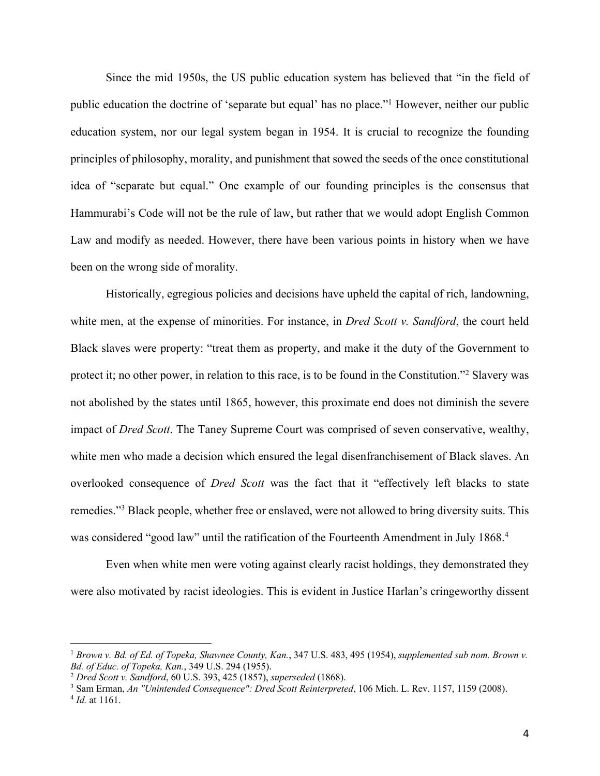Since the mid 1950s, the US public education system has believed that "in the field of public education the doctrine of 'separate but equal' has no place."1 However, neither our public education system, nor our legal system began in 1954. It is crucial to recognize the founding principles of philosophy, morality, and punishment that sowed the seeds of the once constitutional idea of "separate but equal." One example of our founding principles is the consensus that Hammurabi's Code will not be the rule of law, but rather that we would adopt English Common Law and modify as needed. However, there have been various points in history when we have been on the wrong side of morality.

Historically, egregious policies and decisions have upheld the capital of rich, landowning, white men, at the expense of minorities. For instance, in *Dred Scott v. Sandford*, the court held Black slaves were property: "treat them as property, and make it the duty of the Government to protect it; no other power, in relation to this race, is to be found in the Constitution."2 Slavery was not abolished by the states until 1865, however, this proximate end does not diminish the severe impact of *Dred Scott*. The Taney Supreme Court was comprised of seven conservative, wealthy, white men who made a decision which ensured the legal disenfranchisement of Black slaves. An overlooked consequence of *Dred Scott* was the fact that it "effectively left blacks to state remedies."3 Black people, whether free or enslaved, were not allowed to bring diversity suits. This was considered "good law" until the ratification of the Fourteenth Amendment in July 1868.<sup>4</sup>

Even when white men were voting against clearly racist holdings, they demonstrated they were also motivated by racist ideologies. This is evident in Justice Harlan's cringeworthy dissent

<sup>1</sup> *Brown v. Bd. of Ed. of Topeka, Shawnee County, Kan.*, 347 U.S. 483, 495 (1954), *supplemented sub nom. Brown v. Bd. of Educ. of Topeka, Kan.*, 349 U.S. 294 (1955).

<sup>2</sup> *Dred Scott v. Sandford*, 60 U.S. 393, 425 (1857), *superseded* (1868).

<sup>3</sup> Sam Erman, *An "Unintended Consequence": Dred Scott Reinterpreted*, 106 Mich. L. Rev. 1157, 1159 (2008).

<sup>4</sup> *Id.* at 1161.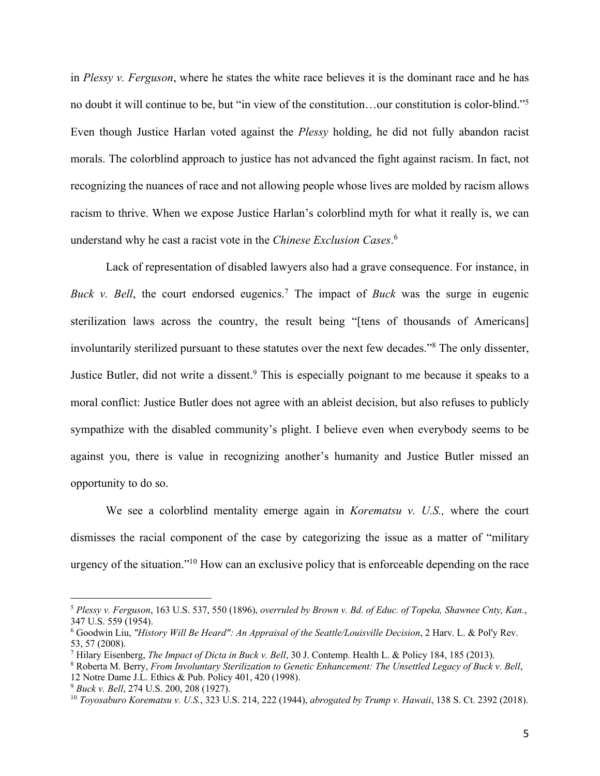in *Plessy v. Ferguson*, where he states the white race believes it is the dominant race and he has no doubt it will continue to be, but "in view of the constitution…our constitution is color-blind."5 Even though Justice Harlan voted against the *Plessy* holding, he did not fully abandon racist morals. The colorblind approach to justice has not advanced the fight against racism. In fact, not recognizing the nuances of race and not allowing people whose lives are molded by racism allows racism to thrive. When we expose Justice Harlan's colorblind myth for what it really is, we can understand why he cast a racist vote in the *Chinese Exclusion Cases*. 6

Lack of representation of disabled lawyers also had a grave consequence. For instance, in *Buck v. Bell*, the court endorsed eugenics.<sup>7</sup> The impact of *Buck* was the surge in eugenic sterilization laws across the country, the result being "[tens of thousands of Americans] involuntarily sterilized pursuant to these statutes over the next few decades."8 The only dissenter, Justice Butler, did not write a dissent.<sup>9</sup> This is especially poignant to me because it speaks to a moral conflict: Justice Butler does not agree with an ableist decision, but also refuses to publicly sympathize with the disabled community's plight. I believe even when everybody seems to be against you, there is value in recognizing another's humanity and Justice Butler missed an opportunity to do so.

We see a colorblind mentality emerge again in *Korematsu v. U.S.,* where the court dismisses the racial component of the case by categorizing the issue as a matter of "military urgency of the situation."10 How can an exclusive policy that is enforceable depending on the race

<sup>5</sup> *Plessy v. Ferguson*, 163 U.S. 537, 550 (1896), *overruled by Brown v. Bd. of Educ. of Topeka, Shawnee Cnty, Kan.*, 347 U.S. 559 (1954).

<sup>6</sup> Goodwin Liu, *"History Will Be Heard": An Appraisal of the Seattle/Louisville Decision*, 2 Harv. L. & Pol'y Rev. 53, 57 (2008).

<sup>7</sup> Hilary Eisenberg, *The Impact of Dicta in Buck v. Bell*, 30 J. Contemp. Health L. & Policy 184, 185 (2013).

<sup>8</sup> Roberta M. Berry, *From Involuntary Sterilization to Genetic Enhancement: The Unsettled Legacy of Buck v. Bell*, 12 Notre Dame J.L. Ethics & Pub. Policy 401, 420 (1998).

<sup>9</sup> *Buck v. Bell*, 274 U.S. 200, 208 (1927).

<sup>10</sup> *Toyosaburo Korematsu v. U.S.*, 323 U.S. 214, 222 (1944), *abrogated by Trump v. Hawaii*, 138 S. Ct. 2392 (2018).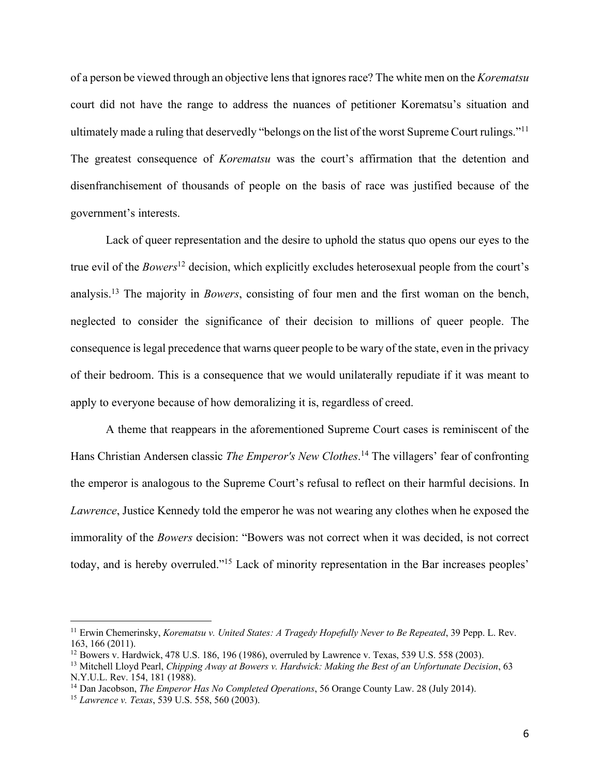of a person be viewed through an objective lens that ignores race? The white men on the *Korematsu* court did not have the range to address the nuances of petitioner Korematsu's situation and ultimately made a ruling that deservedly "belongs on the list of the worst Supreme Court rulings."11 The greatest consequence of *Korematsu* was the court's affirmation that the detention and disenfranchisement of thousands of people on the basis of race was justified because of the government's interests.

Lack of queer representation and the desire to uphold the status quo opens our eyes to the true evil of the *Bowers*<sup>12</sup> decision, which explicitly excludes heterosexual people from the court's analysis.13 The majority in *Bowers*, consisting of four men and the first woman on the bench, neglected to consider the significance of their decision to millions of queer people. The consequence is legal precedence that warns queer people to be wary of the state, even in the privacy of their bedroom. This is a consequence that we would unilaterally repudiate if it was meant to apply to everyone because of how demoralizing it is, regardless of creed.

A theme that reappears in the aforementioned Supreme Court cases is reminiscent of the Hans Christian Andersen classic *The Emperor's New Clothes*. <sup>14</sup> The villagers' fear of confronting the emperor is analogous to the Supreme Court's refusal to reflect on their harmful decisions. In *Lawrence*, Justice Kennedy told the emperor he was not wearing any clothes when he exposed the immorality of the *Bowers* decision: "Bowers was not correct when it was decided, is not correct today, and is hereby overruled."15 Lack of minority representation in the Bar increases peoples'

<sup>11</sup> Erwin Chemerinsky, *Korematsu v. United States: A Tragedy Hopefully Never to Be Repeated*, 39 Pepp. L. Rev. 163, 166 (2011).

<sup>12</sup> Bowers v. Hardwick, 478 U.S. 186, 196 (1986), overruled by Lawrence v. Texas, 539 U.S. 558 (2003).

<sup>13</sup> Mitchell Lloyd Pearl, *Chipping Away at Bowers v. Hardwick: Making the Best of an Unfortunate Decision*, 63 N.Y.U.L. Rev. 154, 181 (1988).

<sup>14</sup> Dan Jacobson, *The Emperor Has No Completed Operations*, 56 Orange County Law. 28 (July 2014).

<sup>15</sup> *Lawrence v. Texas*, 539 U.S. 558, 560 (2003).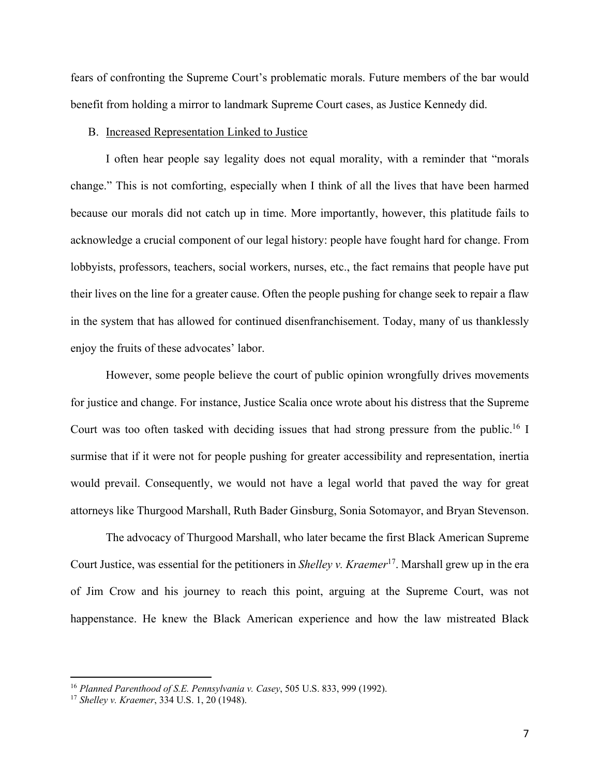fears of confronting the Supreme Court's problematic morals. Future members of the bar would benefit from holding a mirror to landmark Supreme Court cases, as Justice Kennedy did.

#### B. Increased Representation Linked to Justice

I often hear people say legality does not equal morality, with a reminder that "morals change." This is not comforting, especially when I think of all the lives that have been harmed because our morals did not catch up in time. More importantly, however, this platitude fails to acknowledge a crucial component of our legal history: people have fought hard for change. From lobbyists, professors, teachers, social workers, nurses, etc., the fact remains that people have put their lives on the line for a greater cause. Often the people pushing for change seek to repair a flaw in the system that has allowed for continued disenfranchisement. Today, many of us thanklessly enjoy the fruits of these advocates' labor.

However, some people believe the court of public opinion wrongfully drives movements for justice and change. For instance, Justice Scalia once wrote about his distress that the Supreme Court was too often tasked with deciding issues that had strong pressure from the public.<sup>16</sup> I surmise that if it were not for people pushing for greater accessibility and representation, inertia would prevail. Consequently, we would not have a legal world that paved the way for great attorneys like Thurgood Marshall, Ruth Bader Ginsburg, Sonia Sotomayor, and Bryan Stevenson.

The advocacy of Thurgood Marshall, who later became the first Black American Supreme Court Justice, was essential for the petitioners in *Shelley v. Kraemer*17. Marshall grew up in the era of Jim Crow and his journey to reach this point, arguing at the Supreme Court, was not happenstance. He knew the Black American experience and how the law mistreated Black

<sup>16</sup> *Planned Parenthood of S.E. Pennsylvania v. Casey*, 505 U.S. 833, 999 (1992).

<sup>17</sup> *Shelley v. Kraemer*, 334 U.S. 1, 20 (1948).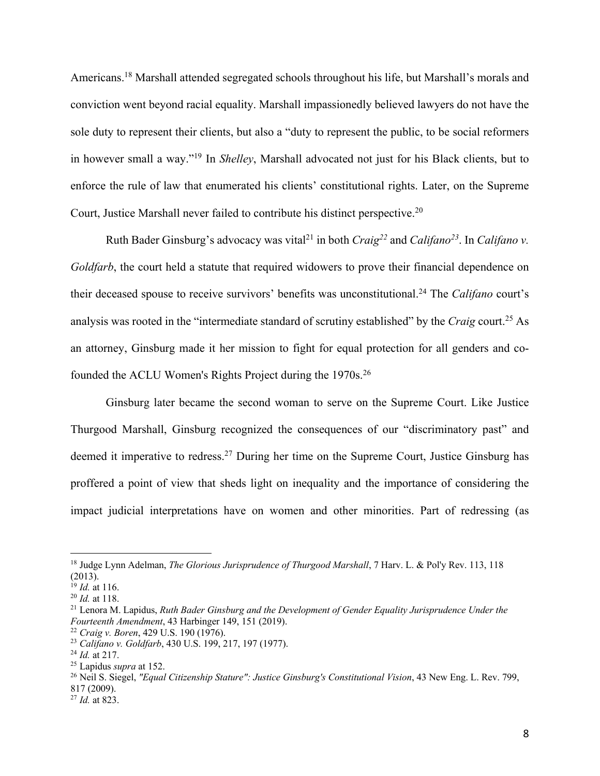Americans.18 Marshall attended segregated schools throughout his life, but Marshall's morals and conviction went beyond racial equality. Marshall impassionedly believed lawyers do not have the sole duty to represent their clients, but also a "duty to represent the public, to be social reformers in however small a way."19 In *Shelley*, Marshall advocated not just for his Black clients, but to enforce the rule of law that enumerated his clients' constitutional rights. Later, on the Supreme Court, Justice Marshall never failed to contribute his distinct perspective.20

Ruth Bader Ginsburg's advocacy was vital<sup>21</sup> in both *Craig*<sup>22</sup> and *Califano*<sup>23</sup>. In *Califano* v. *Goldfarb*, the court held a statute that required widowers to prove their financial dependence on their deceased spouse to receive survivors' benefits was unconstitutional.24 The *Califano* court's analysis was rooted in the "intermediate standard of scrutiny established" by the *Craig* court. <sup>25</sup> As an attorney, Ginsburg made it her mission to fight for equal protection for all genders and cofounded the ACLU Women's Rights Project during the 1970s.26

Ginsburg later became the second woman to serve on the Supreme Court. Like Justice Thurgood Marshall, Ginsburg recognized the consequences of our "discriminatory past" and deemed it imperative to redress.<sup>27</sup> During her time on the Supreme Court, Justice Ginsburg has proffered a point of view that sheds light on inequality and the importance of considering the impact judicial interpretations have on women and other minorities. Part of redressing (as

<sup>&</sup>lt;sup>18</sup> Judge Lynn Adelman, *The Glorious Jurisprudence of Thurgood Marshall*, 7 Harv. L. & Pol'y Rev. 113, 118 (2013).

 $^{19}$  *Id.* at 116.

<sup>20</sup> *Id.* at 118.

<sup>21</sup> Lenora M. Lapidus, *Ruth Bader Ginsburg and the Development of Gender Equality Jurisprudence Under the Fourteenth Amendment*, 43 Harbinger 149, 151 (2019). 22 *Craig v. Boren*, 429 U.S. 190 (1976).

<sup>23</sup> *Califano v. Goldfarb*, 430 U.S. 199, 217, 197 (1977).

<sup>24</sup> *Id.* at 217.

<sup>25</sup> Lapidus *supra* at 152.

<sup>26</sup> Neil S. Siegel, *"Equal Citizenship Stature": Justice Ginsburg's Constitutional Vision*, 43 New Eng. L. Rev. 799, 817 (2009).

<sup>27</sup> *Id.* at 823.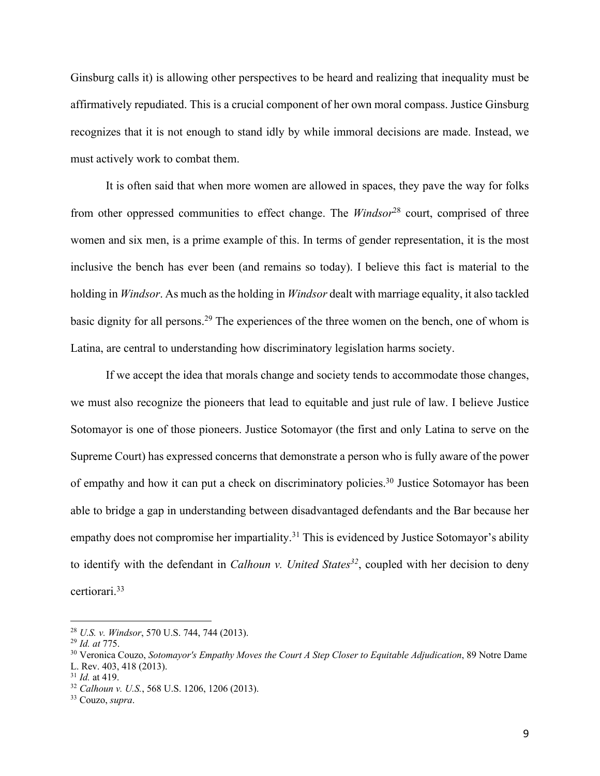Ginsburg calls it) is allowing other perspectives to be heard and realizing that inequality must be affirmatively repudiated. This is a crucial component of her own moral compass. Justice Ginsburg recognizes that it is not enough to stand idly by while immoral decisions are made. Instead, we must actively work to combat them.

It is often said that when more women are allowed in spaces, they pave the way for folks from other oppressed communities to effect change. The *Windsor*<sup>28</sup> court, comprised of three women and six men, is a prime example of this. In terms of gender representation, it is the most inclusive the bench has ever been (and remains so today). I believe this fact is material to the holding in *Windsor*. As much as the holding in *Windsor* dealt with marriage equality, it also tackled basic dignity for all persons.29 The experiences of the three women on the bench, one of whom is Latina, are central to understanding how discriminatory legislation harms society.

If we accept the idea that morals change and society tends to accommodate those changes, we must also recognize the pioneers that lead to equitable and just rule of law. I believe Justice Sotomayor is one of those pioneers. Justice Sotomayor (the first and only Latina to serve on the Supreme Court) has expressed concerns that demonstrate a person who is fully aware of the power of empathy and how it can put a check on discriminatory policies.<sup>30</sup> Justice Sotomayor has been able to bridge a gap in understanding between disadvantaged defendants and the Bar because her empathy does not compromise her impartiality.<sup>31</sup> This is evidenced by Justice Sotomayor's ability to identify with the defendant in *Calhoun v. United States*<sup>32</sup>, coupled with her decision to deny certiorari.33

<sup>28</sup> *U.S. v. Windsor*, 570 U.S. 744, 744 (2013).

<sup>29</sup> *Id. at* 775.

<sup>30</sup> Veronica Couzo, *Sotomayor's Empathy Moves the Court A Step Closer to Equitable Adjudication*, 89 Notre Dame L. Rev. 403, 418 (2013).

<sup>31</sup> *Id.* at 419.

<sup>32</sup> *Calhoun v. U.S.*, 568 U.S. 1206, 1206 (2013).

<sup>33</sup> Couzo, *supra*.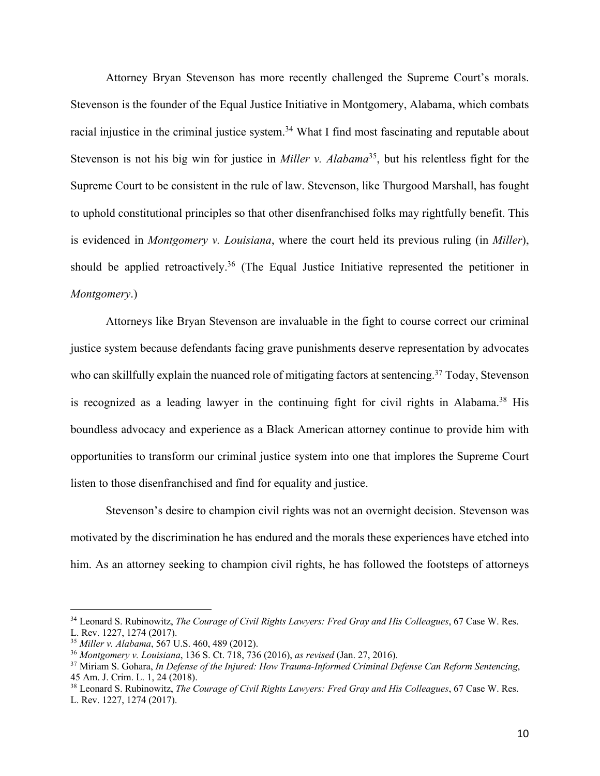Attorney Bryan Stevenson has more recently challenged the Supreme Court's morals. Stevenson is the founder of the Equal Justice Initiative in Montgomery, Alabama, which combats racial injustice in the criminal justice system.<sup>34</sup> What I find most fascinating and reputable about Stevenson is not his big win for justice in *Miller v. Alabama*<sup>35</sup>, but his relentless fight for the Supreme Court to be consistent in the rule of law. Stevenson, like Thurgood Marshall, has fought to uphold constitutional principles so that other disenfranchised folks may rightfully benefit. This is evidenced in *Montgomery v. Louisiana*, where the court held its previous ruling (in *Miller*), should be applied retroactively.<sup>36</sup> (The Equal Justice Initiative represented the petitioner in *Montgomery*.)

Attorneys like Bryan Stevenson are invaluable in the fight to course correct our criminal justice system because defendants facing grave punishments deserve representation by advocates who can skillfully explain the nuanced role of mitigating factors at sentencing.<sup>37</sup> Today, Stevenson is recognized as a leading lawyer in the continuing fight for civil rights in Alabama.<sup>38</sup> His boundless advocacy and experience as a Black American attorney continue to provide him with opportunities to transform our criminal justice system into one that implores the Supreme Court listen to those disenfranchised and find for equality and justice.

Stevenson's desire to champion civil rights was not an overnight decision. Stevenson was motivated by the discrimination he has endured and the morals these experiences have etched into him. As an attorney seeking to champion civil rights, he has followed the footsteps of attorneys

<sup>34</sup> Leonard S. Rubinowitz, *The Courage of Civil Rights Lawyers: Fred Gray and His Colleagues*, 67 Case W. Res. L. Rev. 1227, 1274 (2017).

<sup>35</sup> *Miller v. Alabama*, 567 U.S. 460, 489 (2012).

<sup>36</sup> *Montgomery v. Louisiana*, 136 S. Ct. 718, 736 (2016), *as revised* (Jan. 27, 2016).

<sup>37</sup> Miriam S. Gohara, *In Defense of the Injured: How Trauma-Informed Criminal Defense Can Reform Sentencing*, 45 Am. J. Crim. L. 1, 24 (2018).

<sup>38</sup> Leonard S. Rubinowitz, *The Courage of Civil Rights Lawyers: Fred Gray and His Colleagues*, 67 Case W. Res. L. Rev. 1227, 1274 (2017).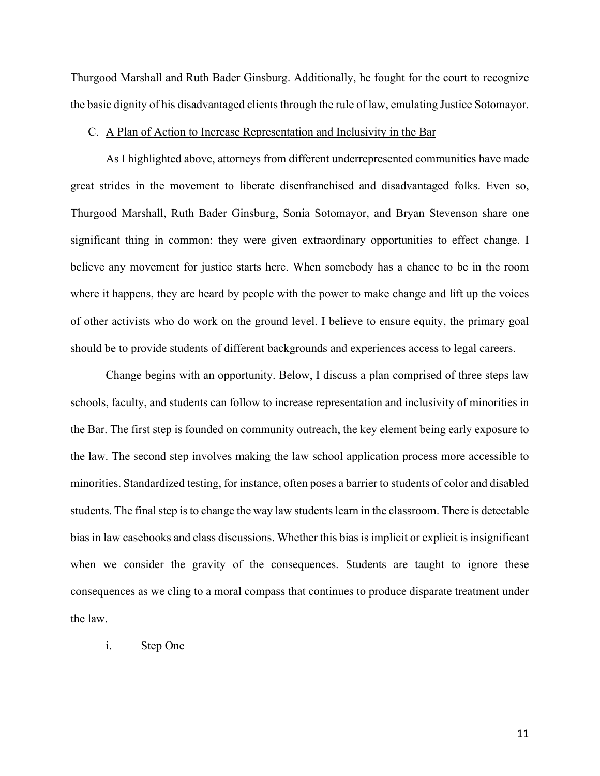Thurgood Marshall and Ruth Bader Ginsburg. Additionally, he fought for the court to recognize the basic dignity of his disadvantaged clients through the rule of law, emulating Justice Sotomayor.

### C. A Plan of Action to Increase Representation and Inclusivity in the Bar

As I highlighted above, attorneys from different underrepresented communities have made great strides in the movement to liberate disenfranchised and disadvantaged folks. Even so, Thurgood Marshall, Ruth Bader Ginsburg, Sonia Sotomayor, and Bryan Stevenson share one significant thing in common: they were given extraordinary opportunities to effect change. I believe any movement for justice starts here. When somebody has a chance to be in the room where it happens, they are heard by people with the power to make change and lift up the voices of other activists who do work on the ground level. I believe to ensure equity, the primary goal should be to provide students of different backgrounds and experiences access to legal careers.

Change begins with an opportunity. Below, I discuss a plan comprised of three steps law schools, faculty, and students can follow to increase representation and inclusivity of minorities in the Bar. The first step is founded on community outreach, the key element being early exposure to the law. The second step involves making the law school application process more accessible to minorities. Standardized testing, for instance, often poses a barrier to students of color and disabled students. The final step is to change the way law students learn in the classroom. There is detectable bias in law casebooks and class discussions. Whether this bias is implicit or explicit is insignificant when we consider the gravity of the consequences. Students are taught to ignore these consequences as we cling to a moral compass that continues to produce disparate treatment under the law.

### i. Step One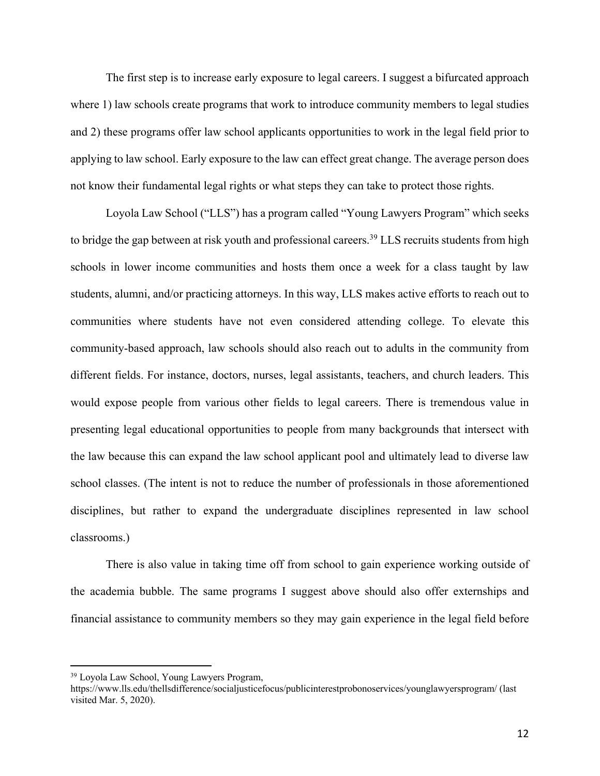The first step is to increase early exposure to legal careers. I suggest a bifurcated approach where 1) law schools create programs that work to introduce community members to legal studies and 2) these programs offer law school applicants opportunities to work in the legal field prior to applying to law school. Early exposure to the law can effect great change. The average person does not know their fundamental legal rights or what steps they can take to protect those rights.

Loyola Law School ("LLS") has a program called "Young Lawyers Program" which seeks to bridge the gap between at risk youth and professional careers.<sup>39</sup> LLS recruits students from high schools in lower income communities and hosts them once a week for a class taught by law students, alumni, and/or practicing attorneys. In this way, LLS makes active efforts to reach out to communities where students have not even considered attending college. To elevate this community-based approach, law schools should also reach out to adults in the community from different fields. For instance, doctors, nurses, legal assistants, teachers, and church leaders. This would expose people from various other fields to legal careers. There is tremendous value in presenting legal educational opportunities to people from many backgrounds that intersect with the law because this can expand the law school applicant pool and ultimately lead to diverse law school classes. (The intent is not to reduce the number of professionals in those aforementioned disciplines, but rather to expand the undergraduate disciplines represented in law school classrooms.)

There is also value in taking time off from school to gain experience working outside of the academia bubble. The same programs I suggest above should also offer externships and financial assistance to community members so they may gain experience in the legal field before

<sup>39</sup> Loyola Law School, Young Lawyers Program,

https://www.lls.edu/thellsdifference/socialjusticefocus/publicinterestprobonoservices/younglawyersprogram/ (last visited Mar. 5, 2020).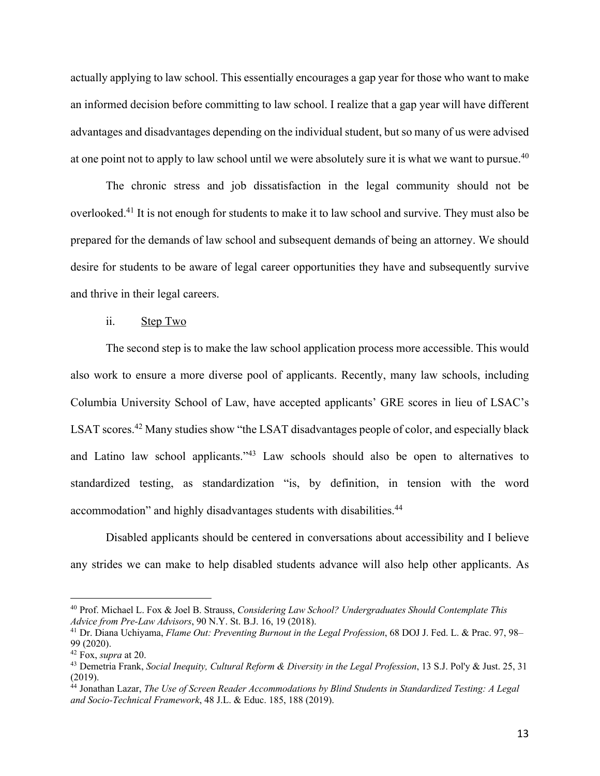actually applying to law school. This essentially encourages a gap year for those who want to make an informed decision before committing to law school. I realize that a gap year will have different advantages and disadvantages depending on the individual student, but so many of us were advised at one point not to apply to law school until we were absolutely sure it is what we want to pursue.<sup>40</sup>

The chronic stress and job dissatisfaction in the legal community should not be overlooked.41 It is not enough for students to make it to law school and survive. They must also be prepared for the demands of law school and subsequent demands of being an attorney. We should desire for students to be aware of legal career opportunities they have and subsequently survive and thrive in their legal careers.

## ii. Step Two

The second step is to make the law school application process more accessible. This would also work to ensure a more diverse pool of applicants. Recently, many law schools, including Columbia University School of Law, have accepted applicants' GRE scores in lieu of LSAC's LSAT scores.<sup>42</sup> Many studies show "the LSAT disadvantages people of color, and especially black and Latino law school applicants."43 Law schools should also be open to alternatives to standardized testing, as standardization "is, by definition, in tension with the word accommodation" and highly disadvantages students with disabilities.44

Disabled applicants should be centered in conversations about accessibility and I believe any strides we can make to help disabled students advance will also help other applicants. As

<sup>40</sup> Prof. Michael L. Fox & Joel B. Strauss, *Considering Law School? Undergraduates Should Contemplate This Advice from Pre-Law Advisors*, 90 N.Y. St. B.J. 16, 19 (2018).

<sup>41</sup> Dr. Diana Uchiyama, *Flame Out: Preventing Burnout in the Legal Profession*, 68 DOJ J. Fed. L. & Prac. 97, 98– 99 (2020).

<sup>42</sup> Fox, *supra* at 20.

<sup>43</sup> Demetria Frank, *Social Inequity, Cultural Reform & Diversity in the Legal Profession*, 13 S.J. Pol'y & Just. 25, 31 (2019).

<sup>44</sup> Jonathan Lazar, *The Use of Screen Reader Accommodations by Blind Students in Standardized Testing: A Legal and Socio-Technical Framework*, 48 J.L. & Educ. 185, 188 (2019).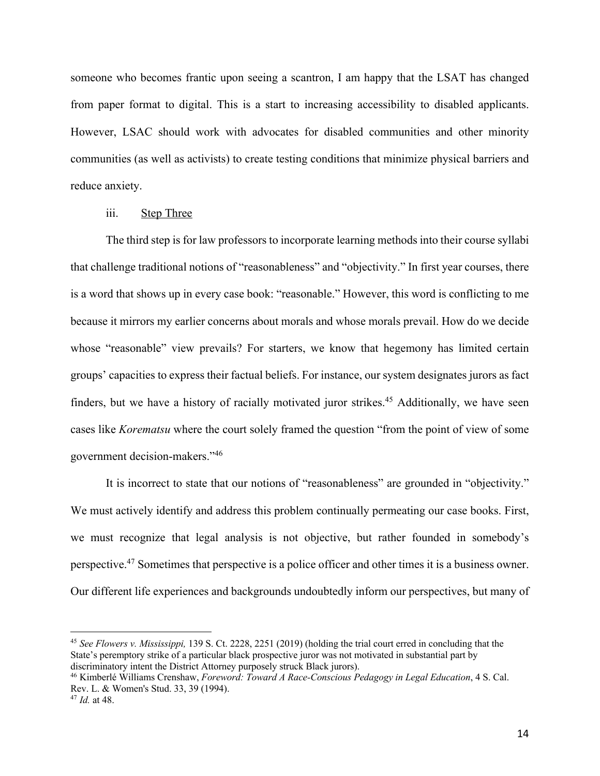someone who becomes frantic upon seeing a scantron, I am happy that the LSAT has changed from paper format to digital. This is a start to increasing accessibility to disabled applicants. However, LSAC should work with advocates for disabled communities and other minority communities (as well as activists) to create testing conditions that minimize physical barriers and reduce anxiety.

### iii. Step Three

The third step is for law professors to incorporate learning methods into their course syllabi that challenge traditional notions of "reasonableness" and "objectivity." In first year courses, there is a word that shows up in every case book: "reasonable." However, this word is conflicting to me because it mirrors my earlier concerns about morals and whose morals prevail. How do we decide whose "reasonable" view prevails? For starters, we know that hegemony has limited certain groups' capacities to express their factual beliefs. For instance, our system designates jurors as fact finders, but we have a history of racially motivated juror strikes.<sup>45</sup> Additionally, we have seen cases like *Korematsu* where the court solely framed the question "from the point of view of some government decision-makers."46

It is incorrect to state that our notions of "reasonableness" are grounded in "objectivity." We must actively identify and address this problem continually permeating our case books. First, we must recognize that legal analysis is not objective, but rather founded in somebody's perspective.47 Sometimes that perspective is a police officer and other times it is a business owner. Our different life experiences and backgrounds undoubtedly inform our perspectives, but many of

<sup>45</sup> *See Flowers v. Mississippi,* 139 S. Ct. 2228, 2251 (2019) (holding the trial court erred in concluding that the State's peremptory strike of a particular black prospective juror was not motivated in substantial part by discriminatory intent the District Attorney purposely struck Black jurors).

<sup>46</sup> Kimberlé Williams Crenshaw, *Foreword: Toward A Race-Conscious Pedagogy in Legal Education*, 4 S. Cal. Rev. L. & Women's Stud. 33, 39 (1994).

<sup>47</sup> *Id.* at 48.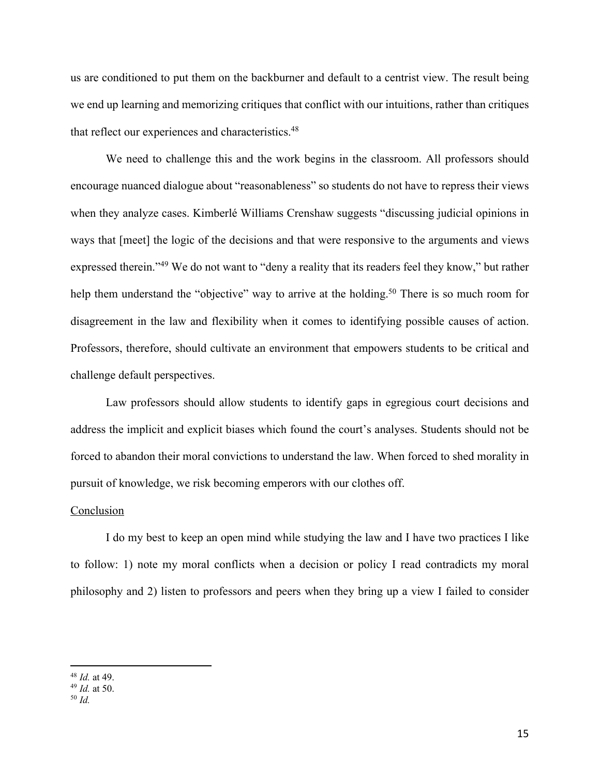us are conditioned to put them on the backburner and default to a centrist view. The result being we end up learning and memorizing critiques that conflict with our intuitions, rather than critiques that reflect our experiences and characteristics.<sup>48</sup>

We need to challenge this and the work begins in the classroom. All professors should encourage nuanced dialogue about "reasonableness" so students do not have to repress their views when they analyze cases. Kimberlé Williams Crenshaw suggests "discussing judicial opinions in ways that [meet] the logic of the decisions and that were responsive to the arguments and views expressed therein."49 We do not want to "deny a reality that its readers feel they know," but rather help them understand the "objective" way to arrive at the holding.<sup>50</sup> There is so much room for disagreement in the law and flexibility when it comes to identifying possible causes of action. Professors, therefore, should cultivate an environment that empowers students to be critical and challenge default perspectives.

Law professors should allow students to identify gaps in egregious court decisions and address the implicit and explicit biases which found the court's analyses. Students should not be forced to abandon their moral convictions to understand the law. When forced to shed morality in pursuit of knowledge, we risk becoming emperors with our clothes off.

#### Conclusion

I do my best to keep an open mind while studying the law and I have two practices I like to follow: 1) note my moral conflicts when a decision or policy I read contradicts my moral philosophy and 2) listen to professors and peers when they bring up a view I failed to consider

<sup>48</sup> *Id.* at 49.

<sup>49</sup> *Id.* at 50.

<sup>50</sup> *Id.*